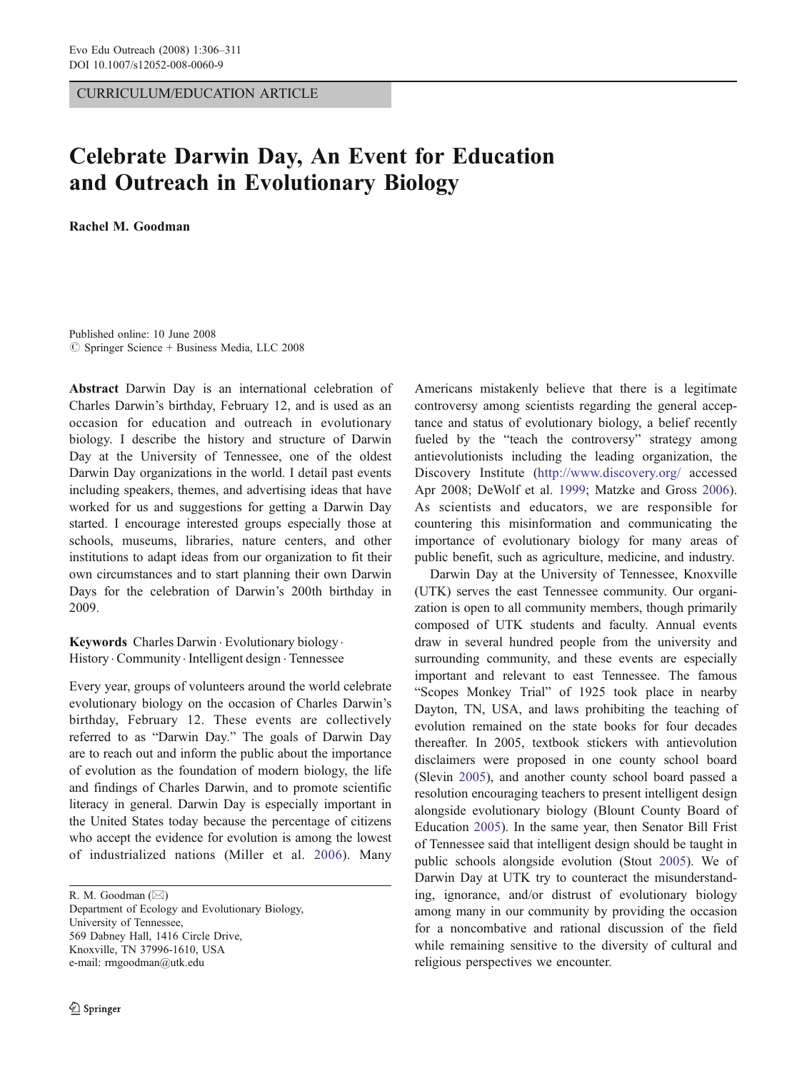CURRICULUM/EDUCATION ARTICLE

# Celebrate Darwin Day, An Event for Education and Outreach in Evolutionary Biology

Rachel M. Goodman

Published online: 10 June 2008  $\oslash$  Springer Science + Business Media, LLC 2008

Abstract Darwin Day is an international celebration of Charles Darwin's birthday, February 12, and is used as an occasion for education and outreach in evolutionary biology. I describe the history and structure of Darwin Day at the University of Tennessee, one of the oldest Darwin Day organizations in the world. I detail past events including speakers, themes, and advertising ideas that have worked for us and suggestions for getting a Darwin Day started. I encourage interested groups especially those at schools, museums, libraries, nature centers, and other institutions to adapt ideas from our organization to fit their own circumstances and to start planning their own Darwin Days for the celebration of Darwin's 200th birthday in 2009.

Keywords Charles Darwin . Evolutionary biology. History . Community . Intelligent design . Tennessee

Every year, groups of volunteers around the world celebrate evolutionary biology on the occasion of Charles Darwin's birthday, February 12. These events are collectively referred to as "Darwin Day." The goals of Darwin Day are to reach out and inform the public about the importance of evolution as the foundation of modern biology, the life and findings of Charles Darwin, and to promote scientific literacy in general. Darwin Day is especially important in the United States today because the percentage of citizens who accept the evidence for evolution is among the lowest of industrialized nations (Miller et al. [2006\)](#page-5-0). Many

R. M. Goodman ( $\boxtimes$ )

Department of Ecology and Evolutionary Biology, University of Tennessee, 569 Dabney Hall, 1416 Circle Drive, Knoxville, TN 37996-1610, USA e-mail: rmgoodman@utk.edu

Americans mistakenly believe that there is a legitimate controversy among scientists regarding the general acceptance and status of evolutionary biology, a belief recently fueled by the "teach the controversy" strategy among antievolutionists including the leading organization, the Discovery Institute (<http://www.discovery.org/> accessed Apr 2008; DeWolf et al. [1999](#page-5-0); Matzke and Gross [2006\)](#page-5-0). As scientists and educators, we are responsible for countering this misinformation and communicating the importance of evolutionary biology for many areas of public benefit, such as agriculture, medicine, and industry.

Darwin Day at the University of Tennessee, Knoxville (UTK) serves the east Tennessee community. Our organization is open to all community members, though primarily composed of UTK students and faculty. Annual events draw in several hundred people from the university and surrounding community, and these events are especially important and relevant to east Tennessee. The famous "Scopes Monkey Trial" of 1925 took place in nearby Dayton, TN, USA, and laws prohibiting the teaching of evolution remained on the state books for four decades thereafter. In 2005, textbook stickers with antievolution disclaimers were proposed in one county school board (Slevin [2005\)](#page-5-0), and another county school board passed a resolution encouraging teachers to present intelligent design alongside evolutionary biology (Blount County Board of Education [2005\)](#page-5-0). In the same year, then Senator Bill Frist of Tennessee said that intelligent design should be taught in public schools alongside evolution (Stout [2005\)](#page-5-0). We of Darwin Day at UTK try to counteract the misunderstanding, ignorance, and/or distrust of evolutionary biology among many in our community by providing the occasion for a noncombative and rational discussion of the field while remaining sensitive to the diversity of cultural and religious perspectives we encounter.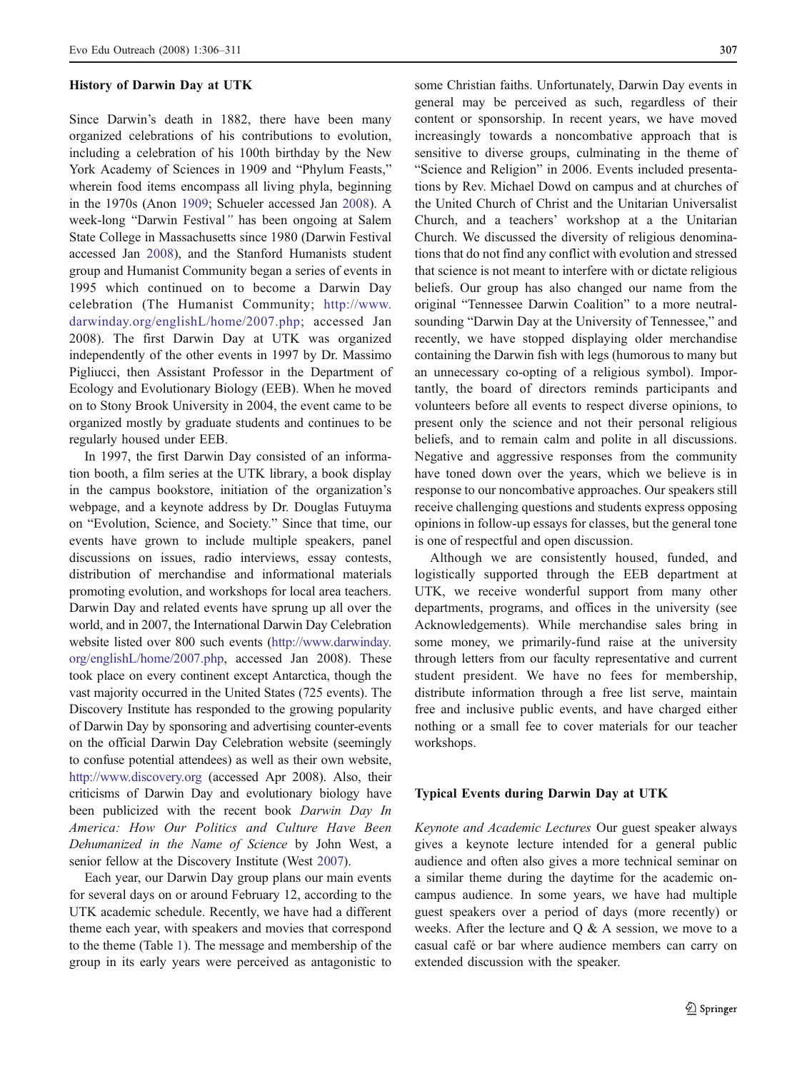#### History of Darwin Day at UTK

Since Darwin's death in 1882, there have been many organized celebrations of his contributions to evolution, including a celebration of his 100th birthday by the New York Academy of Sciences in 1909 and "Phylum Feasts," wherein food items encompass all living phyla, beginning in the 1970s (Anon [1909;](#page-5-0) Schueler accessed Jan [2008\)](#page-5-0). A week-long "Darwin Festival" has been ongoing at Salem State College in Massachusetts since 1980 (Darwin Festival accessed Jan [2008](#page-5-0)), and the Stanford Humanists student group and Humanist Community began a series of events in 1995 which continued on to become a Darwin Day celebration (The Humanist Community; [http://www.](http://www.darwinday.org/englishL/home/2007.php) [darwinday.org/englishL/home/2007.php;](http://www.darwinday.org/englishL/home/2007.php) accessed Jan 2008). The first Darwin Day at UTK was organized independently of the other events in 1997 by Dr. Massimo Pigliucci, then Assistant Professor in the Department of Ecology and Evolutionary Biology (EEB). When he moved on to Stony Brook University in 2004, the event came to be organized mostly by graduate students and continues to be regularly housed under EEB.

In 1997, the first Darwin Day consisted of an information booth, a film series at the UTK library, a book display in the campus bookstore, initiation of the organization's webpage, and a keynote address by Dr. Douglas Futuyma on "Evolution, Science, and Society." Since that time, our events have grown to include multiple speakers, panel discussions on issues, radio interviews, essay contests, distribution of merchandise and informational materials promoting evolution, and workshops for local area teachers. Darwin Day and related events have sprung up all over the world, and in 2007, the International Darwin Day Celebration website listed over 800 such events ([http://www.darwinday.](http://www.darwinday.org/englishL/home/2007.php) [org/englishL/home/2007.php](http://www.darwinday.org/englishL/home/2007.php), accessed Jan 2008). These took place on every continent except Antarctica, though the vast majority occurred in the United States (725 events). The Discovery Institute has responded to the growing popularity of Darwin Day by sponsoring and advertising counter-events on the official Darwin Day Celebration website (seemingly to confuse potential attendees) as well as their own website, <http://www.discovery.org> (accessed Apr 2008). Also, their criticisms of Darwin Day and evolutionary biology have been publicized with the recent book Darwin Day In America: How Our Politics and Culture Have Been Dehumanized in the Name of Science by John West, a senior fellow at the Discovery Institute (West [2007\)](#page-5-0).

Each year, our Darwin Day group plans our main events for several days on or around February 12, according to the UTK academic schedule. Recently, we have had a different theme each year, with speakers and movies that correspond to the theme (Table [1](#page-2-0)). The message and membership of the group in its early years were perceived as antagonistic to some Christian faiths. Unfortunately, Darwin Day events in general may be perceived as such, regardless of their content or sponsorship. In recent years, we have moved increasingly towards a noncombative approach that is sensitive to diverse groups, culminating in the theme of "Science and Religion" in 2006. Events included presentations by Rev. Michael Dowd on campus and at churches of the United Church of Christ and the Unitarian Universalist Church, and a teachers' workshop at a the Unitarian Church. We discussed the diversity of religious denominations that do not find any conflict with evolution and stressed that science is not meant to interfere with or dictate religious beliefs. Our group has also changed our name from the original "Tennessee Darwin Coalition" to a more neutralsounding "Darwin Day at the University of Tennessee," and recently, we have stopped displaying older merchandise containing the Darwin fish with legs (humorous to many but an unnecessary co-opting of a religious symbol). Importantly, the board of directors reminds participants and volunteers before all events to respect diverse opinions, to present only the science and not their personal religious beliefs, and to remain calm and polite in all discussions. Negative and aggressive responses from the community have toned down over the years, which we believe is in response to our noncombative approaches. Our speakers still receive challenging questions and students express opposing opinions in follow-up essays for classes, but the general tone is one of respectful and open discussion.

Although we are consistently housed, funded, and logistically supported through the EEB department at UTK, we receive wonderful support from many other departments, programs, and offices in the university (see Acknowledgements). While merchandise sales bring in some money, we primarily-fund raise at the university through letters from our faculty representative and current student president. We have no fees for membership, distribute information through a free list serve, maintain free and inclusive public events, and have charged either nothing or a small fee to cover materials for our teacher workshops.

### Typical Events during Darwin Day at UTK

Keynote and Academic Lectures Our guest speaker always gives a keynote lecture intended for a general public audience and often also gives a more technical seminar on a similar theme during the daytime for the academic oncampus audience. In some years, we have had multiple guest speakers over a period of days (more recently) or weeks. After the lecture and  $Q \& A$  session, we move to a casual café or bar where audience members can carry on extended discussion with the speaker.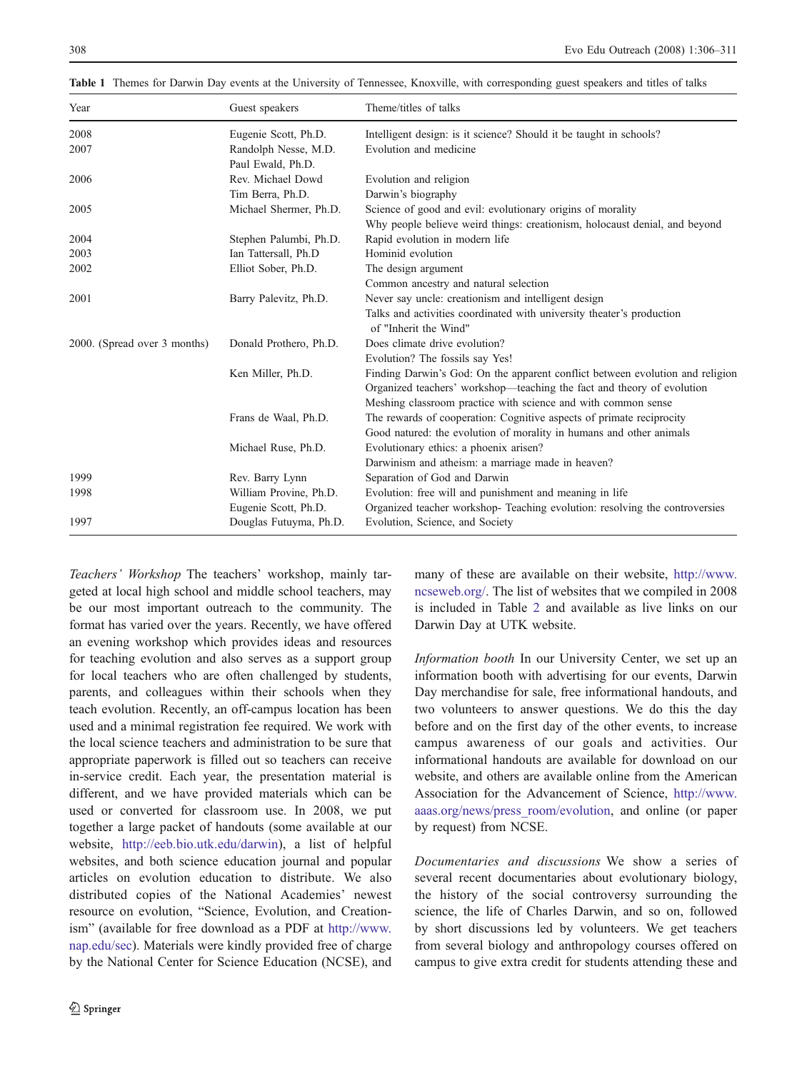| Year                         | Guest speakers                                 | Theme/titles of talks                                                                                                                                                                                                    |
|------------------------------|------------------------------------------------|--------------------------------------------------------------------------------------------------------------------------------------------------------------------------------------------------------------------------|
| 2008                         | Eugenie Scott, Ph.D.                           | Intelligent design: is it science? Should it be taught in schools?                                                                                                                                                       |
| 2007                         | Randolph Nesse, M.D.<br>Paul Ewald, Ph.D.      | Evolution and medicine                                                                                                                                                                                                   |
| 2006                         | Rev. Michael Dowd<br>Tim Berra, Ph.D.          | Evolution and religion<br>Darwin's biography                                                                                                                                                                             |
| 2005                         | Michael Shermer, Ph.D.                         | Science of good and evil: evolutionary origins of morality<br>Why people believe weird things: creationism, holocaust denial, and beyond                                                                                 |
| 2004                         | Stephen Palumbi, Ph.D.                         | Rapid evolution in modern life                                                                                                                                                                                           |
| 2003                         | Ian Tattersall, Ph.D                           | Hominid evolution                                                                                                                                                                                                        |
| 2002                         | Elliot Sober, Ph.D.                            | The design argument<br>Common ancestry and natural selection                                                                                                                                                             |
| 2001                         | Barry Palevitz, Ph.D.                          | Never say uncle: creationism and intelligent design                                                                                                                                                                      |
|                              |                                                | Talks and activities coordinated with university theater's production<br>of "Inherit the Wind"                                                                                                                           |
| 2000. (Spread over 3 months) | Donald Prothero, Ph.D.                         | Does climate drive evolution?<br>Evolution? The fossils say Yes!                                                                                                                                                         |
|                              | Ken Miller, Ph.D.                              | Finding Darwin's God: On the apparent conflict between evolution and religion<br>Organized teachers' workshop—teaching the fact and theory of evolution<br>Meshing classroom practice with science and with common sense |
|                              | Frans de Waal, Ph.D.                           | The rewards of cooperation: Cognitive aspects of primate reciprocity<br>Good natured: the evolution of morality in humans and other animals                                                                              |
|                              | Michael Ruse, Ph.D.                            | Evolutionary ethics: a phoenix arisen?<br>Darwinism and atheism: a marriage made in heaven?                                                                                                                              |
| 1999                         |                                                | Separation of God and Darwin                                                                                                                                                                                             |
| 1998                         | Rev. Barry Lynn                                |                                                                                                                                                                                                                          |
|                              | William Provine, Ph.D.<br>Eugenie Scott, Ph.D. | Evolution: free will and punishment and meaning in life<br>Organized teacher workshop-Teaching evolution: resolving the controversies                                                                                    |
| 1997                         | Douglas Futuyma, Ph.D.                         | Evolution, Science, and Society                                                                                                                                                                                          |

<span id="page-2-0"></span>Table 1 Themes for Darwin Day events at the University of Tennessee, Knoxville, with corresponding guest speakers and titles of talks

Teachers' Workshop The teachers' workshop, mainly targeted at local high school and middle school teachers, may be our most important outreach to the community. The format has varied over the years. Recently, we have offered an evening workshop which provides ideas and resources for teaching evolution and also serves as a support group for local teachers who are often challenged by students, parents, and colleagues within their schools when they teach evolution. Recently, an off-campus location has been used and a minimal registration fee required. We work with the local science teachers and administration to be sure that appropriate paperwork is filled out so teachers can receive in-service credit. Each year, the presentation material is different, and we have provided materials which can be used or converted for classroom use. In 2008, we put together a large packet of handouts (some available at our website, <http://eeb.bio.utk.edu/darwin>), a list of helpful websites, and both science education journal and popular articles on evolution education to distribute. We also distributed copies of the National Academies' newest resource on evolution, "Science, Evolution, and Creationism" (available for free download as a PDF at [http://www.](http://www.nap.edu/sec) [nap.edu/sec\)](http://www.nap.edu/sec). Materials were kindly provided free of charge by the National Center for Science Education (NCSE), and

many of these are available on their website, [http://www.](http://www.ncseweb.org/) [ncseweb.org/.](http://www.ncseweb.org/) The list of websites that we compiled in 2008 is included in Table [2](#page-3-0) and available as live links on our Darwin Day at UTK website.

Information booth In our University Center, we set up an information booth with advertising for our events, Darwin Day merchandise for sale, free informational handouts, and two volunteers to answer questions. We do this the day before and on the first day of the other events, to increase campus awareness of our goals and activities. Our informational handouts are available for download on our website, and others are available online from the American Association for the Advancement of Science, [http://www.](http://www.aaas.org/news/press_room/evolution) [aaas.org/news/press\\_room/evolution,](http://www.aaas.org/news/press_room/evolution) and online (or paper by request) from NCSE.

Documentaries and discussions We show a series of several recent documentaries about evolutionary biology, the history of the social controversy surrounding the science, the life of Charles Darwin, and so on, followed by short discussions led by volunteers. We get teachers from several biology and anthropology courses offered on campus to give extra credit for students attending these and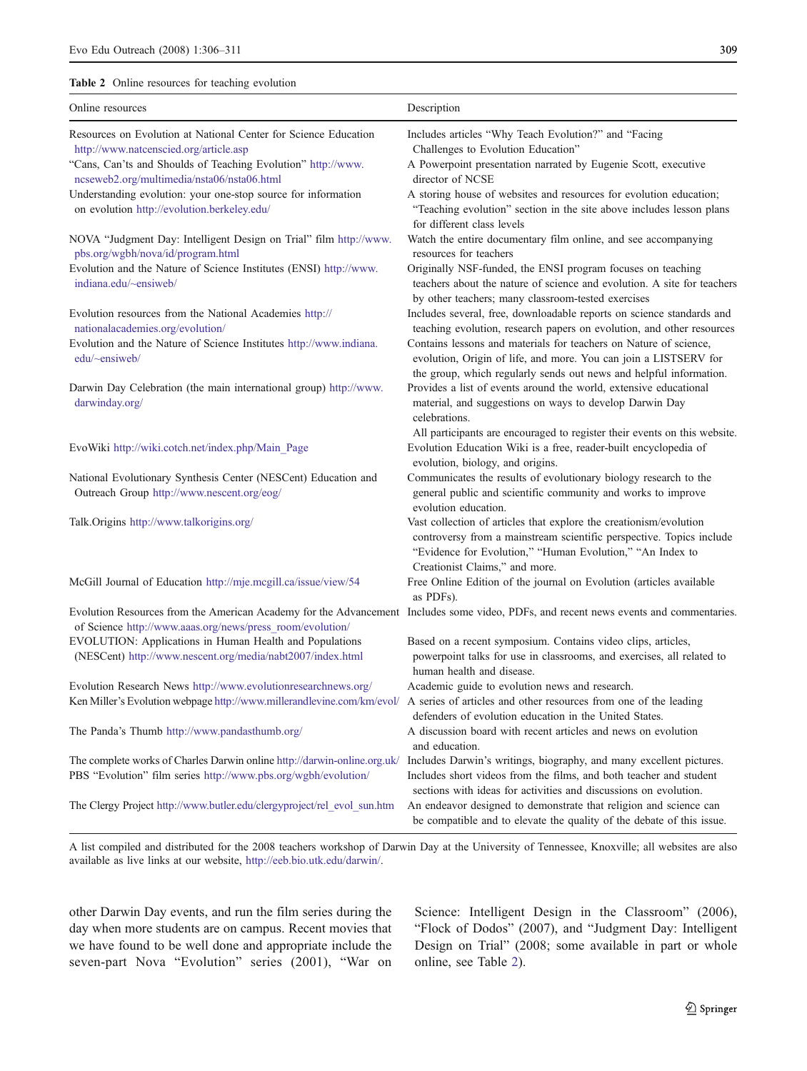#### <span id="page-3-0"></span>Table 2 Online resources for teaching evolution

| Online resources                                                                                                                                                                                                        | Description                                                                                                                                                                                                                               |
|-------------------------------------------------------------------------------------------------------------------------------------------------------------------------------------------------------------------------|-------------------------------------------------------------------------------------------------------------------------------------------------------------------------------------------------------------------------------------------|
| Resources on Evolution at National Center for Science Education<br>http://www.natcenscied.org/article.asp<br>"Cans, Can'ts and Shoulds of Teaching Evolution" http://www.<br>ncseweb2.org/multimedia/nsta06/nsta06.html | Includes articles "Why Teach Evolution?" and "Facing<br>Challenges to Evolution Education"<br>A Powerpoint presentation narrated by Eugenie Scott, executive<br>director of NCSE                                                          |
| Understanding evolution: your one-stop source for information<br>on evolution http://evolution.berkeley.edu/                                                                                                            | A storing house of websites and resources for evolution education;<br>"Teaching evolution" section in the site above includes lesson plans<br>for different class levels                                                                  |
| NOVA "Judgment Day: Intelligent Design on Trial" film http://www.<br>pbs.org/wgbh/nova/id/program.html                                                                                                                  | Watch the entire documentary film online, and see accompanying<br>resources for teachers                                                                                                                                                  |
| Evolution and the Nature of Science Institutes (ENSI) http://www.<br>indiana.edu/~ensiweb/                                                                                                                              | Originally NSF-funded, the ENSI program focuses on teaching<br>teachers about the nature of science and evolution. A site for teachers<br>by other teachers; many classroom-tested exercises                                              |
| Evolution resources from the National Academies http://<br>nationalacademies.org/evolution/                                                                                                                             | Includes several, free, downloadable reports on science standards and<br>teaching evolution, research papers on evolution, and other resources                                                                                            |
| Evolution and the Nature of Science Institutes http://www.indiana.<br>edu/~ensiweb/                                                                                                                                     | Contains lessons and materials for teachers on Nature of science,<br>evolution, Origin of life, and more. You can join a LISTSERV for<br>the group, which regularly sends out news and helpful information.                               |
| Darwin Day Celebration (the main international group) http://www.<br>darwinday.org/                                                                                                                                     | Provides a list of events around the world, extensive educational<br>material, and suggestions on ways to develop Darwin Day<br>celebrations.<br>All participants are encouraged to register their events on this website.                |
| EvoWiki http://wiki.cotch.net/index.php/Main Page                                                                                                                                                                       | Evolution Education Wiki is a free, reader-built encyclopedia of<br>evolution, biology, and origins.                                                                                                                                      |
| National Evolutionary Synthesis Center (NESCent) Education and<br>Outreach Group http://www.nescent.org/eog/                                                                                                            | Communicates the results of evolutionary biology research to the<br>general public and scientific community and works to improve<br>evolution education.                                                                                  |
| Talk.Origins http://www.talkorigins.org/                                                                                                                                                                                | Vast collection of articles that explore the creationism/evolution<br>controversy from a mainstream scientific perspective. Topics include<br>"Evidence for Evolution," "Human Evolution," "An Index to<br>Creationist Claims," and more. |
| McGill Journal of Education http://mje.mcgill.ca/issue/view/54                                                                                                                                                          | Free Online Edition of the journal on Evolution (articles available<br>as PDFs).                                                                                                                                                          |
| of Science http://www.aaas.org/news/press_room/evolution/                                                                                                                                                               | Evolution Resources from the American Academy for the Advancement Includes some video, PDFs, and recent news events and commentaries.                                                                                                     |
| EVOLUTION: Applications in Human Health and Populations<br>(NESCent) http://www.nescent.org/media/nabt2007/index.html                                                                                                   | Based on a recent symposium. Contains video clips, articles,<br>powerpoint talks for use in classrooms, and exercises, all related to<br>human health and disease.                                                                        |
| Evolution Research News http://www.evolutionresearchnews.org/<br>Ken Miller's Evolution webpage http://www.millerandlevine.com/km/evol/ A series of articles and other resources from one of the leading                | Academic guide to evolution news and research.<br>defenders of evolution education in the United States.                                                                                                                                  |
| The Panda's Thumb http://www.pandasthumb.org/                                                                                                                                                                           | A discussion board with recent articles and news on evolution<br>and education.                                                                                                                                                           |
| The complete works of Charles Darwin online http://darwin-online.org.uk/<br>PBS "Evolution" film series http://www.pbs.org/wgbh/evolution/                                                                              | Includes Darwin's writings, biography, and many excellent pictures.<br>Includes short videos from the films, and both teacher and student<br>sections with ideas for activities and discussions on evolution.                             |
| The Clergy Project http://www.butler.edu/clergyproject/rel evol sun.htm                                                                                                                                                 | An endeavor designed to demonstrate that religion and science can<br>be compatible and to elevate the quality of the debate of this issue.                                                                                                |

A list compiled and distributed for the 2008 teachers workshop of Darwin Day at the University of Tennessee, Knoxville; all websites are also available as live links at our website, [http://eeb.bio.utk.edu/darwin/.](http://eeb.bio.utk.edu/darwin/)

other Darwin Day events, and run the film series during the day when more students are on campus. Recent movies that we have found to be well done and appropriate include the seven-part Nova "Evolution" series (2001), "War on Science: Intelligent Design in the Classroom" (2006), "Flock of Dodos" (2007), and "Judgment Day: Intelligent Design on Trial" (2008; some available in part or whole online, see Table 2).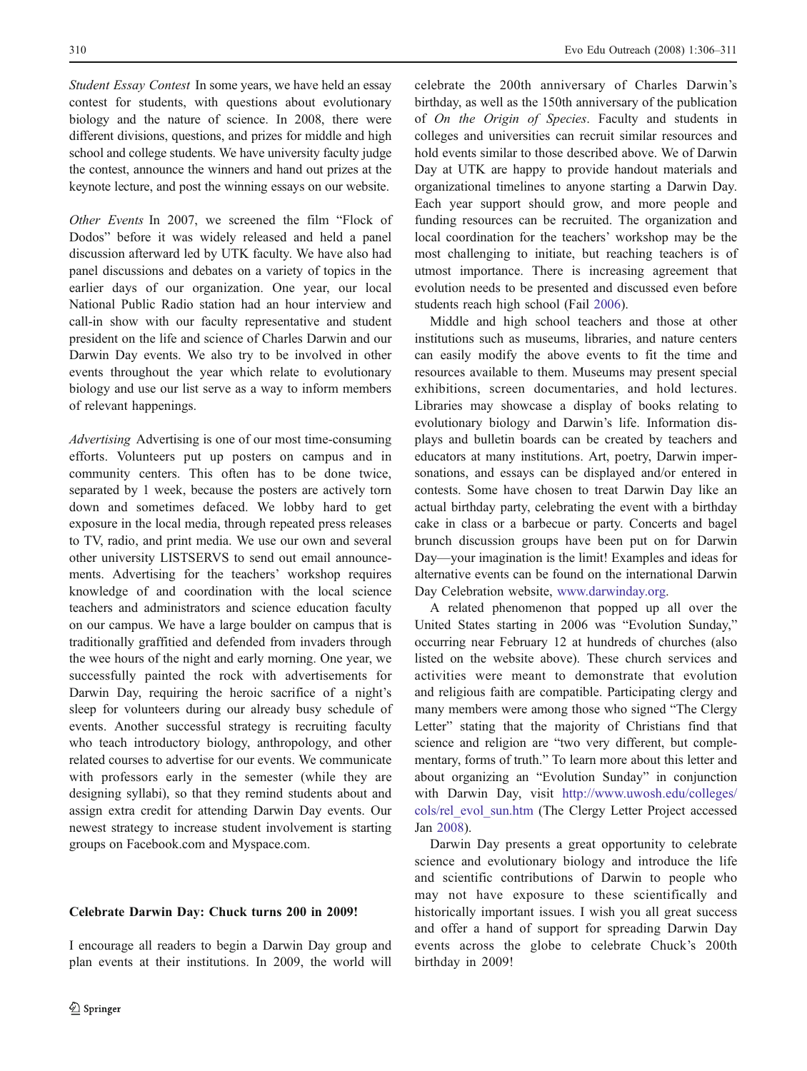Student Essay Contest In some years, we have held an essay contest for students, with questions about evolutionary biology and the nature of science. In 2008, there were different divisions, questions, and prizes for middle and high school and college students. We have university faculty judge the contest, announce the winners and hand out prizes at the keynote lecture, and post the winning essays on our website.

Other Events In 2007, we screened the film "Flock of Dodos" before it was widely released and held a panel discussion afterward led by UTK faculty. We have also had panel discussions and debates on a variety of topics in the earlier days of our organization. One year, our local National Public Radio station had an hour interview and call-in show with our faculty representative and student president on the life and science of Charles Darwin and our Darwin Day events. We also try to be involved in other events throughout the year which relate to evolutionary biology and use our list serve as a way to inform members of relevant happenings.

Advertising Advertising is one of our most time-consuming efforts. Volunteers put up posters on campus and in community centers. This often has to be done twice, separated by 1 week, because the posters are actively torn down and sometimes defaced. We lobby hard to get exposure in the local media, through repeated press releases to TV, radio, and print media. We use our own and several other university LISTSERVS to send out email announcements. Advertising for the teachers' workshop requires knowledge of and coordination with the local science teachers and administrators and science education faculty on our campus. We have a large boulder on campus that is traditionally graffitied and defended from invaders through the wee hours of the night and early morning. One year, we successfully painted the rock with advertisements for Darwin Day, requiring the heroic sacrifice of a night's sleep for volunteers during our already busy schedule of events. Another successful strategy is recruiting faculty who teach introductory biology, anthropology, and other related courses to advertise for our events. We communicate with professors early in the semester (while they are designing syllabi), so that they remind students about and assign extra credit for attending Darwin Day events. Our newest strategy to increase student involvement is starting groups on Facebook.com and Myspace.com.

## Celebrate Darwin Day: Chuck turns 200 in 2009!

I encourage all readers to begin a Darwin Day group and plan events at their institutions. In 2009, the world will celebrate the 200th anniversary of Charles Darwin's birthday, as well as the 150th anniversary of the publication of On the Origin of Species. Faculty and students in colleges and universities can recruit similar resources and hold events similar to those described above. We of Darwin Day at UTK are happy to provide handout materials and organizational timelines to anyone starting a Darwin Day. Each year support should grow, and more people and funding resources can be recruited. The organization and local coordination for the teachers' workshop may be the most challenging to initiate, but reaching teachers is of utmost importance. There is increasing agreement that evolution needs to be presented and discussed even before students reach high school (Fail [2006](#page-5-0)).

Middle and high school teachers and those at other institutions such as museums, libraries, and nature centers can easily modify the above events to fit the time and resources available to them. Museums may present special exhibitions, screen documentaries, and hold lectures. Libraries may showcase a display of books relating to evolutionary biology and Darwin's life. Information displays and bulletin boards can be created by teachers and educators at many institutions. Art, poetry, Darwin impersonations, and essays can be displayed and/or entered in contests. Some have chosen to treat Darwin Day like an actual birthday party, celebrating the event with a birthday cake in class or a barbecue or party. Concerts and bagel brunch discussion groups have been put on for Darwin Day—your imagination is the limit! Examples and ideas for alternative events can be found on the international Darwin Day Celebration website, [www.darwinday.org](http://www.darwinday.org).

A related phenomenon that popped up all over the United States starting in 2006 was "Evolution Sunday," occurring near February 12 at hundreds of churches (also listed on the website above). These church services and activities were meant to demonstrate that evolution and religious faith are compatible. Participating clergy and many members were among those who signed "The Clergy Letter" stating that the majority of Christians find that science and religion are "two very different, but complementary, forms of truth." To learn more about this letter and about organizing an "Evolution Sunday" in conjunction with Darwin Day, visit [http://www.uwosh.edu/colleges/](http://www.uwosh.edu/colleges/cols/rel_evol_sun.htm) [cols/rel\\_evol\\_sun.htm](http://www.uwosh.edu/colleges/cols/rel_evol_sun.htm) (The Clergy Letter Project accessed Jan [2008\)](#page-5-0).

Darwin Day presents a great opportunity to celebrate science and evolutionary biology and introduce the life and scientific contributions of Darwin to people who may not have exposure to these scientifically and historically important issues. I wish you all great success and offer a hand of support for spreading Darwin Day events across the globe to celebrate Chuck's 200th birthday in 2009!